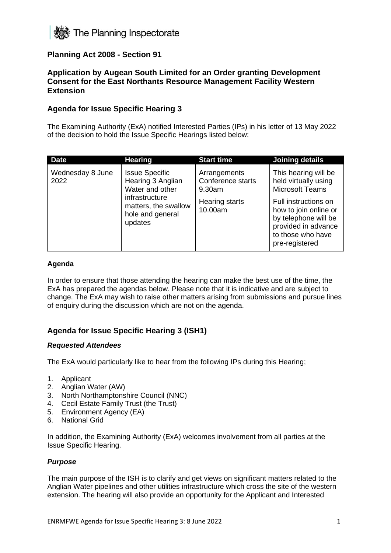

# **Planning Act 2008 - Section 91**

## **Application by Augean South Limited for an Order granting Development Consent for the East Northants Resource Management Facility Western Extension**

## **Agenda for Issue Specific Hearing 3**

The Examining Authority (ExA) notified Interested Parties (IPs) in his letter of 13 May 2022 of the decision to hold the Issue Specific Hearings listed below:

| <b>Date</b>              | <b>Hearing</b>                                                                                                                         | <b>Start time</b>                                                               | Joining details                                                                                                                                                                                               |
|--------------------------|----------------------------------------------------------------------------------------------------------------------------------------|---------------------------------------------------------------------------------|---------------------------------------------------------------------------------------------------------------------------------------------------------------------------------------------------------------|
| Wednesday 8 June<br>2022 | <b>Issue Specific</b><br>Hearing 3 Anglian<br>Water and other<br>infrastructure<br>matters, the swallow<br>hole and general<br>updates | Arrangements<br>Conference starts<br>9.30am<br><b>Hearing starts</b><br>10.00am | This hearing will be<br>held virtually using<br><b>Microsoft Teams</b><br>Full instructions on<br>how to join online or<br>by telephone will be<br>provided in advance<br>to those who have<br>pre-registered |

#### **Agenda**

In order to ensure that those attending the hearing can make the best use of the time, the ExA has prepared the agendas below. Please note that it is indicative and are subject to change. The ExA may wish to raise other matters arising from submissions and pursue lines of enquiry during the discussion which are not on the agenda.

# **Agenda for Issue Specific Hearing 3 (ISH1)**

#### *Requested Attendees*

The ExA would particularly like to hear from the following IPs during this Hearing;

- 1. Applicant
- 2. Anglian Water (AW)
- 3. North Northamptonshire Council (NNC)
- 4. Cecil Estate Family Trust (the Trust)
- 5. Environment Agency (EA)
- 6. National Grid

In addition, the Examining Authority (ExA) welcomes involvement from all parties at the Issue Specific Hearing.

#### *Purpose*

The main purpose of the ISH is to clarify and get views on significant matters related to the Anglian Water pipelines and other utilities infrastructure which cross the site of the western extension. The hearing will also provide an opportunity for the Applicant and Interested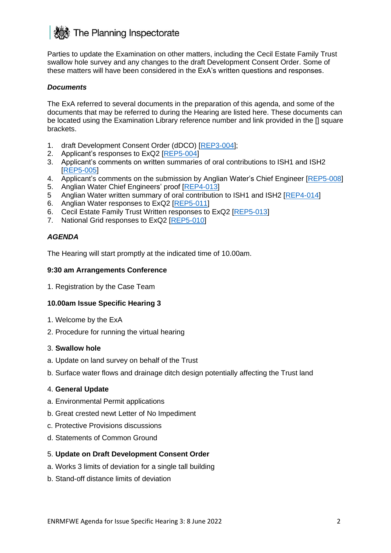

Parties to update the Examination on other matters, including the Cecil Estate Family Trust swallow hole survey and any changes to the draft Development Consent Order. Some of these matters will have been considered in the ExA's written questions and responses.

### *Documents*

The ExA referred to several documents in the preparation of this agenda, and some of the documents that may be referred to during the Hearing are listed here. These documents can be located using the Examination Library reference number and link provided in the [] square brackets.

- 1. draft Development Consent Order (dDCO) [\[REP3-004\]](https://infrastructure.planninginspectorate.gov.uk/wp-content/ipc/uploads/projects/WS010005/WS010005-000528-MJCA%20-%20An%20updated%20version%20of%20the%20draft%20Development%20Consent%20Order%20(dDCO)%20tracked.pdf);
- 2. Applicant's responses to ExQ2 [\[REP5-004\]](https://infrastructure.planninginspectorate.gov.uk/wp-content/ipc/uploads/projects/WS010005/WS010005-000616-Augean%20South%20Limited%20-%20Responses%20to%20ExQ2.pdf)
- 3. Applicant's comments on written summaries of oral contributions to ISH1 and ISH2 [\[REP5-005\]](https://infrastructure.planninginspectorate.gov.uk/wp-content/ipc/uploads/projects/WS010005/WS010005-000611-Augean%20South%20Limited%20-%20comments%20on%20the%20written%20summaries.pdf)
- 4. Applicant's comments on the submission by Anglian Water's Chief Engineer [\[REP5-008\]](https://infrastructure.planninginspectorate.gov.uk/wp-content/ipc/uploads/projects/WS010005/WS010005-000610-Augean%20South%20Limited%20-%20Comments%20on%20evidence%20by%20Anglian%20Water.pdf)
- 5. Anglian Water Chief Engineers' proof [\[REP4-013\]](https://infrastructure.planninginspectorate.gov.uk/wp-content/ipc/uploads/projects/WS010005/WS010005-000580-Anglian%20Water%20Services%20Limited%20-%20Written%20summaries%20of%20oral%20contributions%20at%20hearings.pdf)
- 5 Anglian Water written summary of oral contribution to ISH1 and ISH2 [\[REP4-014\]](https://infrastructure.planninginspectorate.gov.uk/wp-content/ipc/uploads/projects/WS010005/WS010005-000547-Darl%20Sweetland%20-%20Written%20summaries%20of%20oral%20contributions%20at%20hearings.pdf)
- 6. Anglian Water responses to ExQ2 [\[REP5-011\]](https://infrastructure.planninginspectorate.gov.uk/wp-content/ipc/uploads/projects/WS010005/WS010005-000618-Anglian%20Water%20Services%20Limited%20-%20Responses%20to%20ExQ2.pdf)
- 6. Cecil Estate Family Trust Written responses to ExQ2 [\[REP5-013\]](https://infrastructure.planninginspectorate.gov.uk/wp-content/ipc/uploads/projects/WS010005/WS010005-000620-Cecil%20Estate%20Family%20Trust%20-%20ExQ2%20Responses.pdf)
- 7. National Grid responses to ExQ2 [\[REP5-010\]](https://infrastructure.planninginspectorate.gov.uk/wp-content/ipc/uploads/projects/WS010005/WS010005-000605-National%20Grid%20Gas%20PLC%20-%20Responses%20to%20ExQ2.pdf)

### *AGENDA*

The Hearing will start promptly at the indicated time of 10.00am.

#### **9:30 am Arrangements Conference**

1. Registration by the Case Team

#### **10.00am Issue Specific Hearing 3**

- 1. Welcome by the ExA
- 2. Procedure for running the virtual hearing

#### 3. **Swallow hole**

- a. Update on land survey on behalf of the Trust
- b. Surface water flows and drainage ditch design potentially affecting the Trust land

#### 4. **General Update**

- a. Environmental Permit applications
- b. Great crested newt Letter of No Impediment
- c. Protective Provisions discussions
- d. Statements of Common Ground

#### 5. **Update on Draft Development Consent Order**

- a. Works 3 limits of deviation for a single tall building
- b. Stand-off distance limits of deviation